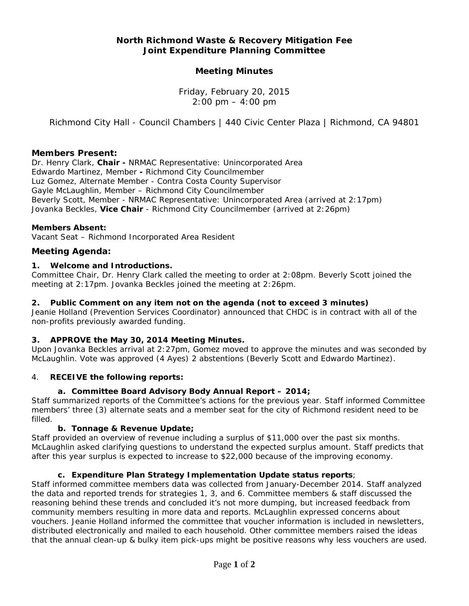## **North Richmond Waste & Recovery Mitigation Fee Joint Expenditure Planning Committee**

## **Meeting Minutes**

Friday, February 20, 2015  $2:00 \text{ pm} - 4:00 \text{ pm}$ 

*Richmond City Hall - Council Chambers | 440 Civic Center Plaza | Richmond, CA 94801*

#### **Members Present:**

Dr. Henry Clark, **Chair -** NRMAC Representative: Unincorporated Area Edwardo Martinez, Member **-** Richmond City Councilmember Luz Gomez, Alternate Member - Contra Costa County Supervisor Gayle McLaughlin, Member – Richmond City Councilmember Beverly Scott, Member - NRMAC Representative: Unincorporated Area *(arrived at 2:17pm)* Jovanka Beckles, **Vice Chair** - Richmond City Councilmember *(arrived at 2:26pm)* 

#### **Members Absent:**

Vacant Seat – Richmond Incorporated Area Resident

#### **Meeting Agenda:**

#### **1. Welcome and Introductions.**

Committee Chair, Dr. Henry Clark called the meeting to order at 2:08pm. Beverly Scott joined the meeting at 2:17pm. Jovanka Beckles joined the meeting at 2:26pm.

#### **2. Public Comment on any item not on the agenda** *(not to exceed 3 minutes)*

Jeanie Holland (Prevention Services Coordinator) announced that CHDC is in contract with all of the non-profits previously awarded funding.

#### **3.** *APPROVE* **the May 30, 2014 Meeting Minutes.**

Upon Jovanka Beckles arrival at 2:27pm, Gomez moved to approve the minutes and was seconded by McLaughlin. Vote was approved (4 Ayes) 2 abstentions (Beverly Scott and Edwardo Martinez).

#### 4. *RECEIVE* **the following reports:**

#### **a. Committee Board Advisory Body Annual Report – 2014;**

Staff summarized reports of the Committee's actions for the previous year. Staff informed Committee members' three (3) alternate seats and a member seat for the city of Richmond resident need to be filled.

#### **b. Tonnage & Revenue Update;**

Staff provided an overview of revenue including a surplus of \$11,000 over the past six months. McLaughlin asked clarifying questions to understand the expected surplus amount. Staff predicts that after this year surplus is expected to increase to \$22,000 because of the improving economy.

#### **c. Expenditure Plan Strategy Implementation Update status reports**;

Staff informed committee members data was collected from January-December 2014. Staff analyzed the data and reported trends for strategies 1, 3, and 6. Committee members & staff discussed the reasoning behind these trends and concluded it's not more dumping, but increased feedback from community members resulting in more data and reports. McLaughlin expressed concerns about vouchers. Jeanie Holland informed the committee that voucher information is included in newsletters, distributed electronically and mailed to each household. Other committee members raised the ideas that the annual clean-up & bulky item pick-ups might be positive reasons why less vouchers are used.